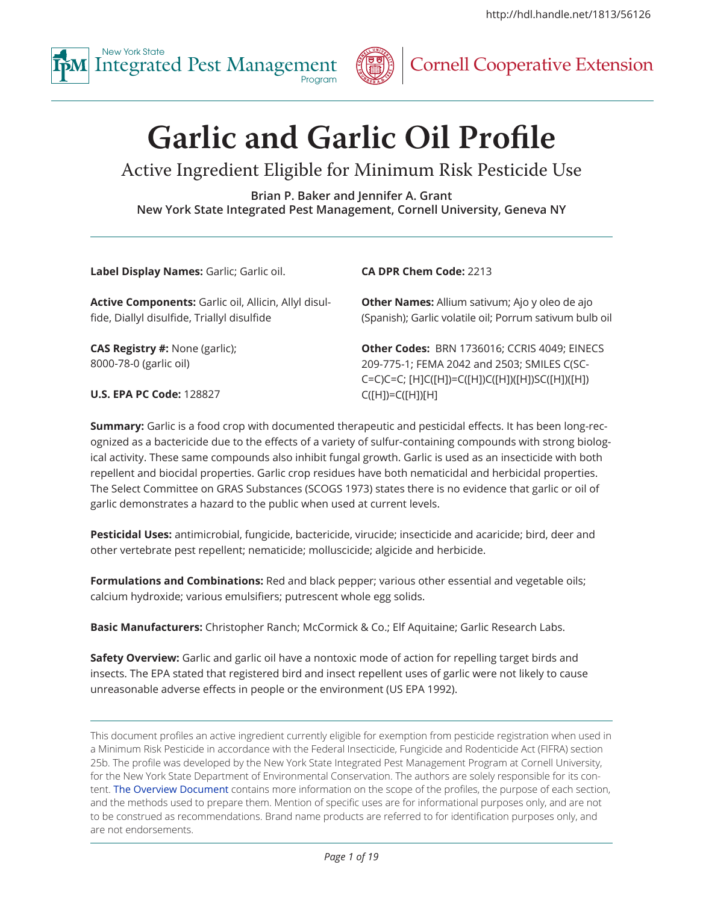



# **Garlic and Garlic Oil Profile**

# Active Ingredient Eligible for Minimum Risk Pesticide Use

**Brian P. Baker and Jennifer A. Grant New York State Integrated Pest Management, Cornell University, Geneva NY**

**Label Display Names:** Garlic; Garlic oil.

**Active Components:** Garlic oil, Allicin, Allyl disulfide, Diallyl disulfide, Triallyl disulfide

**CAS Registry #:** None (garlic); 8000-78-0 (garlic oil)

**CA DPR Chem Code:** 2213

**Other Names:** Allium sativum; Ajo y oleo de ajo (Spanish); Garlic volatile oil; Porrum sativum bulb oil

**Other Codes:** BRN 1736016; CCRIS 4049; EINECS 209-775-1; FEMA 2042 and 2503; SMILES C(SC-C=C)C=C; [H]C([H])=C([H])C([H])([H])SC([H])([H]) C([H])=C([H])[H]

**U.S. EPA PC Code:** 128827

**Summary:** Garlic is a food crop with documented therapeutic and pesticidal effects. It has been long-recognized as a bactericide due to the effects of a variety of sulfur-containing compounds with strong biological activity. These same compounds also inhibit fungal growth. Garlic is used as an insecticide with both repellent and biocidal properties. Garlic crop residues have both nematicidal and herbicidal properties. The Select Committee on GRAS Substances (SCOGS 1973) states there is no evidence that garlic or oil of garlic demonstrates a hazard to the public when used at current levels.

**Pesticidal Uses:** antimicrobial, fungicide, bactericide, virucide; insecticide and acaricide; bird, deer and other vertebrate pest repellent; nematicide; molluscicide; algicide and herbicide.

**Formulations and Combinations:** Red and black pepper; various other essential and vegetable oils; calcium hydroxide; various emulsifiers; putrescent whole egg solids.

**Basic Manufacturers:** Christopher Ranch; McCormick & Co.; Elf Aquitaine; Garlic Research Labs.

**Safety Overview:** Garlic and garlic oil have a nontoxic mode of action for repelling target birds and insects. The EPA stated that registered bird and insect repellent uses of garlic were not likely to cause unreasonable adverse effects in people or the environment (US EPA 1992).

This document profiles an active ingredient currently eligible for exemption from pesticide registration when used in a Minimum Risk Pesticide in accordance with the Federal Insecticide, Fungicide and Rodenticide Act (FIFRA) section 25b. The profile was developed by the New York State Integrated Pest Management Program at Cornell University, for the New York State Department of Environmental Conservation. The authors are solely responsible for its content. [The Overview Document](http://hdl.handle.net/1813/52630) contains more information on the scope of the profiles, the purpose of each section, and the methods used to prepare them. Mention of specific uses are for informational purposes only, and are not to be construed as recommendations. Brand name products are referred to for identification purposes only, and are not endorsements.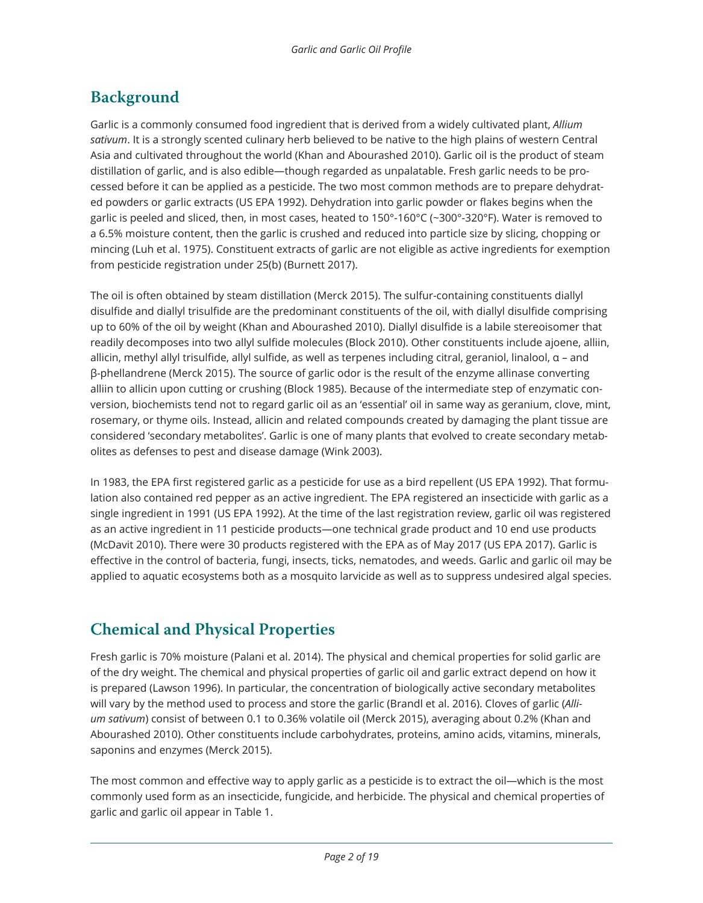# **Background**

Garlic is a commonly consumed food ingredient that is derived from a widely cultivated plant, *Allium sativum*. It is a strongly scented culinary herb believed to be native to the high plains of western Central Asia and cultivated throughout the world (Khan and Abourashed 2010). Garlic oil is the product of steam distillation of garlic, and is also edible—though regarded as unpalatable. Fresh garlic needs to be processed before it can be applied as a pesticide. The two most common methods are to prepare dehydrated powders or garlic extracts (US EPA 1992). Dehydration into garlic powder or flakes begins when the garlic is peeled and sliced, then, in most cases, heated to 150°-160°C (~300°-320°F). Water is removed to a 6.5% moisture content, then the garlic is crushed and reduced into particle size by slicing, chopping or mincing (Luh et al. 1975). Constituent extracts of garlic are not eligible as active ingredients for exemption from pesticide registration under 25(b) (Burnett 2017).

The oil is often obtained by steam distillation (Merck 2015). The sulfur-containing constituents diallyl disulfide and diallyl trisulfide are the predominant constituents of the oil, with diallyl disulfide comprising up to 60% of the oil by weight (Khan and Abourashed 2010). Diallyl disulfide is a labile stereoisomer that readily decomposes into two allyl sulfide molecules (Block 2010). Other constituents include ajoene, alliin, allicin, methyl allyl trisulfide, allyl sulfide, as well as terpenes including citral, geraniol, linalool, α – and β-phellandrene (Merck 2015). The source of garlic odor is the result of the enzyme allinase converting alliin to allicin upon cutting or crushing (Block 1985). Because of the intermediate step of enzymatic conversion, biochemists tend not to regard garlic oil as an 'essential' oil in same way as geranium, clove, mint, rosemary, or thyme oils. Instead, allicin and related compounds created by damaging the plant tissue are considered 'secondary metabolites'. Garlic is one of many plants that evolved to create secondary metabolites as defenses to pest and disease damage (Wink 2003).

In 1983, the EPA first registered garlic as a pesticide for use as a bird repellent (US EPA 1992). That formulation also contained red pepper as an active ingredient. The EPA registered an insecticide with garlic as a single ingredient in 1991 (US EPA 1992). At the time of the last registration review, garlic oil was registered as an active ingredient in 11 pesticide products—one technical grade product and 10 end use products (McDavit 2010). There were 30 products registered with the EPA as of May 2017 (US EPA 2017). Garlic is effective in the control of bacteria, fungi, insects, ticks, nematodes, and weeds. Garlic and garlic oil may be applied to aquatic ecosystems both as a mosquito larvicide as well as to suppress undesired algal species.

# **Chemical and Physical Properties**

Fresh garlic is 70% moisture (Palani et al. 2014). The physical and chemical properties for solid garlic are of the dry weight. The chemical and physical properties of garlic oil and garlic extract depend on how it is prepared (Lawson 1996). In particular, the concentration of biologically active secondary metabolites will vary by the method used to process and store the garlic (Brandl et al. 2016). Cloves of garlic (*Allium sativum*) consist of between 0.1 to 0.36% volatile oil (Merck 2015), averaging about 0.2% (Khan and Abourashed 2010). Other constituents include carbohydrates, proteins, amino acids, vitamins, minerals, saponins and enzymes (Merck 2015).

The most common and effective way to apply garlic as a pesticide is to extract the oil—which is the most commonly used form as an insecticide, fungicide, and herbicide. The physical and chemical properties of garlic and garlic oil appear in Table 1.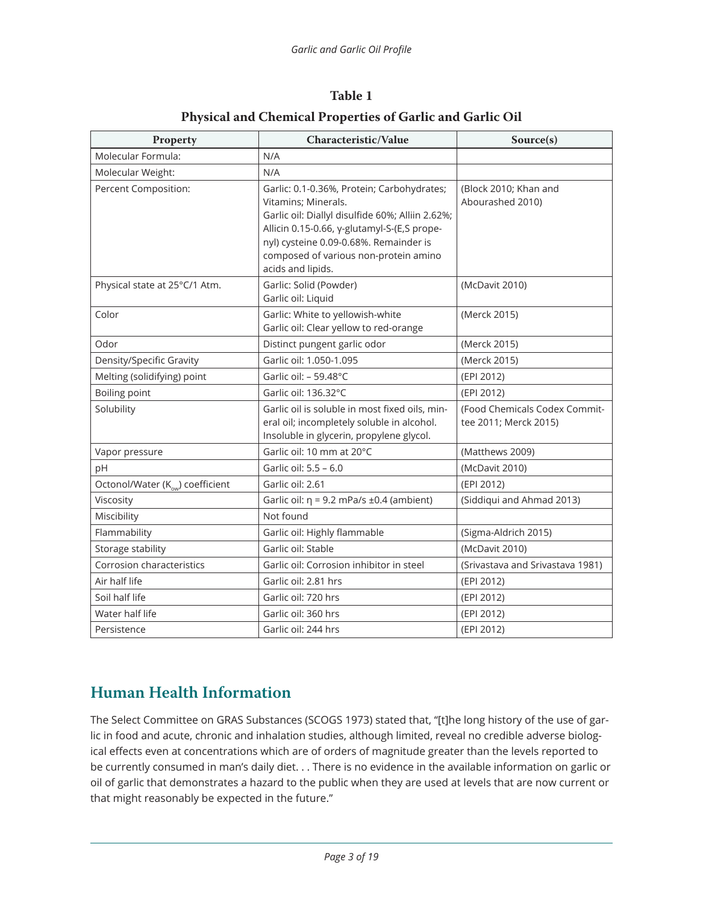| Property                                     | Characteristic/Value                                                                                                                                                                                                                                                         | Source(s)                                              |
|----------------------------------------------|------------------------------------------------------------------------------------------------------------------------------------------------------------------------------------------------------------------------------------------------------------------------------|--------------------------------------------------------|
| Molecular Formula:                           | N/A                                                                                                                                                                                                                                                                          |                                                        |
| Molecular Weight:                            | N/A                                                                                                                                                                                                                                                                          |                                                        |
| Percent Composition:                         | Garlic: 0.1-0.36%, Protein; Carbohydrates;<br>Vitamins; Minerals.<br>Garlic oil: Diallyl disulfide 60%; Alliin 2.62%;<br>Allicin 0.15-0.66, y-glutamyl-S-(E,S prope-<br>nyl) cysteine 0.09-0.68%. Remainder is<br>composed of various non-protein amino<br>acids and lipids. | (Block 2010; Khan and<br>Abourashed 2010)              |
| Physical state at 25°C/1 Atm.                | Garlic: Solid (Powder)<br>Garlic oil: Liquid                                                                                                                                                                                                                                 | (McDavit 2010)                                         |
| Color                                        | Garlic: White to yellowish-white<br>Garlic oil: Clear yellow to red-orange                                                                                                                                                                                                   | (Merck 2015)                                           |
| Odor                                         | Distinct pungent garlic odor                                                                                                                                                                                                                                                 | (Merck 2015)                                           |
| Density/Specific Gravity                     | Garlic oil: 1.050-1.095                                                                                                                                                                                                                                                      | (Merck 2015)                                           |
| Melting (solidifying) point                  | Garlic oil: - 59.48°C                                                                                                                                                                                                                                                        | (EPI 2012)                                             |
| Boiling point                                | Garlic oil: 136.32°C                                                                                                                                                                                                                                                         | (EPI 2012)                                             |
| Solubility                                   | Garlic oil is soluble in most fixed oils, min-<br>eral oil; incompletely soluble in alcohol.<br>Insoluble in glycerin, propylene glycol.                                                                                                                                     | (Food Chemicals Codex Commit-<br>tee 2011; Merck 2015) |
| Vapor pressure                               | Garlic oil: 10 mm at 20°C                                                                                                                                                                                                                                                    | (Matthews 2009)                                        |
| pH                                           | Garlic oil: 5.5 - 6.0                                                                                                                                                                                                                                                        | (McDavit 2010)                                         |
| Octonol/Water (K <sub>ow</sub> ) coefficient | Garlic oil: 2.61                                                                                                                                                                                                                                                             | (EPI 2012)                                             |
| Viscosity                                    | Garlic oil: $\eta$ = 9.2 mPa/s ±0.4 (ambient)                                                                                                                                                                                                                                | (Siddiqui and Ahmad 2013)                              |
| Miscibility                                  | Not found                                                                                                                                                                                                                                                                    |                                                        |
| Flammability                                 | Garlic oil: Highly flammable                                                                                                                                                                                                                                                 | (Sigma-Aldrich 2015)                                   |
| Storage stability                            | Garlic oil: Stable                                                                                                                                                                                                                                                           | (McDavit 2010)                                         |
| Corrosion characteristics                    | Garlic oil: Corrosion inhibitor in steel                                                                                                                                                                                                                                     | (Srivastava and Srivastava 1981)                       |
| Air half life                                | Garlic oil: 2.81 hrs                                                                                                                                                                                                                                                         | (EPI 2012)                                             |
| Soil half life                               | Garlic oil: 720 hrs                                                                                                                                                                                                                                                          | (EPI 2012)                                             |
| Water half life                              | Garlic oil: 360 hrs                                                                                                                                                                                                                                                          | (EPI 2012)                                             |
| Persistence                                  | Garlic oil: 244 hrs                                                                                                                                                                                                                                                          | (EPI 2012)                                             |

#### **Table 1 Physical and Chemical Properties of Garlic and Garlic Oil**

# **Human Health Information**

The Select Committee on GRAS Substances (SCOGS 1973) stated that, "[t]he long history of the use of garlic in food and acute, chronic and inhalation studies, although limited, reveal no credible adverse biological effects even at concentrations which are of orders of magnitude greater than the levels reported to be currently consumed in man's daily diet. . . There is no evidence in the available information on garlic or oil of garlic that demonstrates a hazard to the public when they are used at levels that are now current or that might reasonably be expected in the future."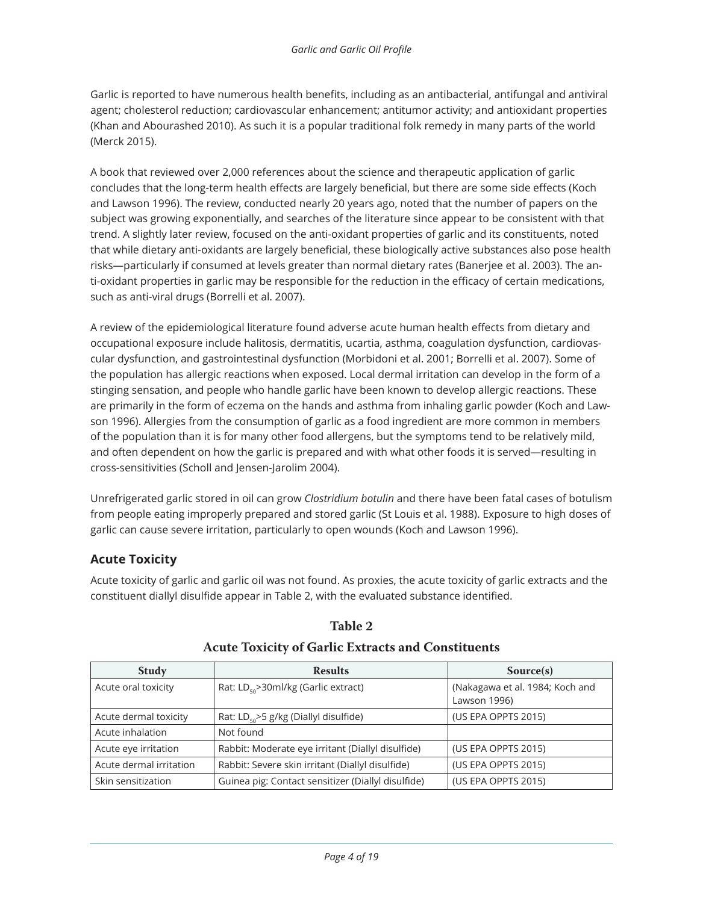Garlic is reported to have numerous health benefits, including as an antibacterial, antifungal and antiviral agent; cholesterol reduction; cardiovascular enhancement; antitumor activity; and antioxidant properties (Khan and Abourashed 2010). As such it is a popular traditional folk remedy in many parts of the world (Merck 2015).

A book that reviewed over 2,000 references about the science and therapeutic application of garlic concludes that the long-term health effects are largely beneficial, but there are some side effects (Koch and Lawson 1996). The review, conducted nearly 20 years ago, noted that the number of papers on the subject was growing exponentially, and searches of the literature since appear to be consistent with that trend. A slightly later review, focused on the anti-oxidant properties of garlic and its constituents, noted that while dietary anti-oxidants are largely beneficial, these biologically active substances also pose health risks—particularly if consumed at levels greater than normal dietary rates (Banerjee et al. 2003). The anti-oxidant properties in garlic may be responsible for the reduction in the efficacy of certain medications, such as anti-viral drugs (Borrelli et al. 2007).

A review of the epidemiological literature found adverse acute human health effects from dietary and occupational exposure include halitosis, dermatitis, ucartia, asthma, coagulation dysfunction, cardiovascular dysfunction, and gastrointestinal dysfunction (Morbidoni et al. 2001; Borrelli et al. 2007). Some of the population has allergic reactions when exposed. Local dermal irritation can develop in the form of a stinging sensation, and people who handle garlic have been known to develop allergic reactions. These are primarily in the form of eczema on the hands and asthma from inhaling garlic powder (Koch and Lawson 1996). Allergies from the consumption of garlic as a food ingredient are more common in members of the population than it is for many other food allergens, but the symptoms tend to be relatively mild, and often dependent on how the garlic is prepared and with what other foods it is served—resulting in cross-sensitivities (Scholl and Jensen-Jarolim 2004).

Unrefrigerated garlic stored in oil can grow *Clostridium botulin* and there have been fatal cases of botulism from people eating improperly prepared and stored garlic (St Louis et al. 1988). Exposure to high doses of garlic can cause severe irritation, particularly to open wounds (Koch and Lawson 1996).

#### **Acute Toxicity**

Acute toxicity of garlic and garlic oil was not found. As proxies, the acute toxicity of garlic extracts and the constituent diallyl disulfide appear in Table 2, with the evaluated substance identified.

| <b>Study</b>            | <b>Results</b>                                     | Source(s)                                       |
|-------------------------|----------------------------------------------------|-------------------------------------------------|
| Acute oral toxicity     | Rat: LD <sub>50</sub> >30ml/kg (Garlic extract)    | (Nakagawa et al. 1984; Koch and<br>Lawson 1996) |
| Acute dermal toxicity   | Rat: $LD_{50}$ >5 g/kg (Diallyl disulfide)         | (US EPA OPPTS 2015)                             |
| Acute inhalation        | Not found                                          |                                                 |
| Acute eye irritation    | Rabbit: Moderate eye irritant (Diallyl disulfide)  | (US EPA OPPTS 2015)                             |
| Acute dermal irritation | Rabbit: Severe skin irritant (Diallyl disulfide)   | (US EPA OPPTS 2015)                             |
| Skin sensitization      | Guinea pig: Contact sensitizer (Diallyl disulfide) | (US EPA OPPTS 2015)                             |

#### **Table 2**

#### **Acute Toxicity of Garlic Extracts and Constituents**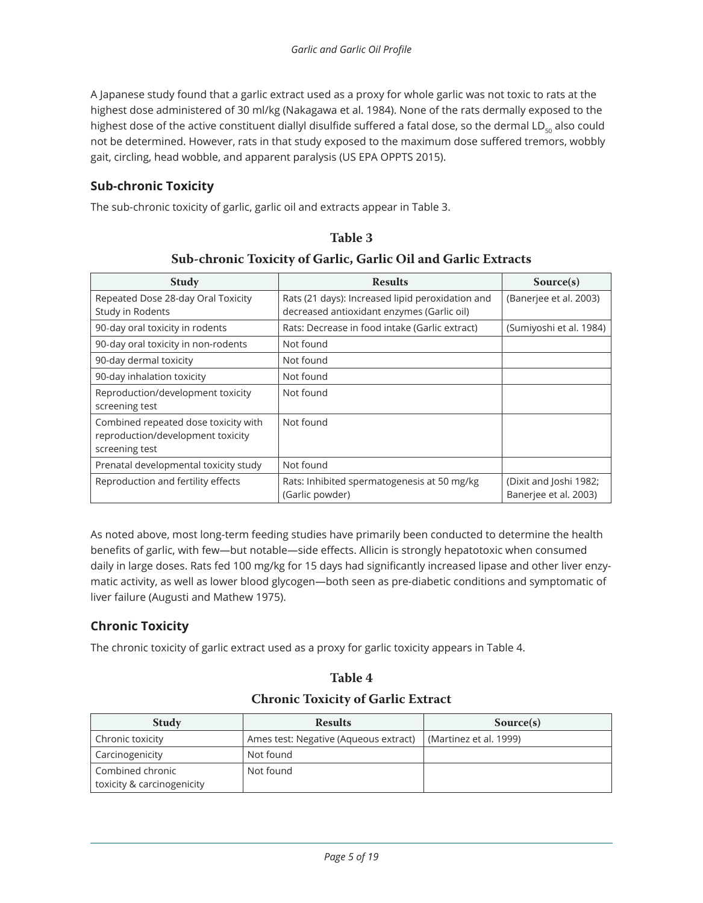A Japanese study found that a garlic extract used as a proxy for whole garlic was not toxic to rats at the highest dose administered of 30 ml/kg (Nakagawa et al. 1984). None of the rats dermally exposed to the highest dose of the active constituent diallyl disulfide suffered a fatal dose, so the dermal LD $_{50}$  also could not be determined. However, rats in that study exposed to the maximum dose suffered tremors, wobbly gait, circling, head wobble, and apparent paralysis (US EPA OPPTS 2015).

#### **Sub-chronic Toxicity**

The sub-chronic toxicity of garlic, garlic oil and extracts appear in Table 3.

#### **Table 3**

#### **Sub-chronic Toxicity of Garlic, Garlic Oil and Garlic Extracts**

| <b>Study</b>                                                                                | <b>Results</b>                                                                                 | Source(s)                                       |
|---------------------------------------------------------------------------------------------|------------------------------------------------------------------------------------------------|-------------------------------------------------|
| Repeated Dose 28-day Oral Toxicity<br>Study in Rodents                                      | Rats (21 days): Increased lipid peroxidation and<br>decreased antioxidant enzymes (Garlic oil) | (Banerjee et al. 2003)                          |
| 90-day oral toxicity in rodents                                                             | Rats: Decrease in food intake (Garlic extract)                                                 | (Sumiyoshi et al. 1984)                         |
| 90-day oral toxicity in non-rodents                                                         | Not found                                                                                      |                                                 |
| 90-day dermal toxicity                                                                      | Not found                                                                                      |                                                 |
| 90-day inhalation toxicity                                                                  | Not found                                                                                      |                                                 |
| Reproduction/development toxicity<br>screening test                                         | Not found                                                                                      |                                                 |
| Combined repeated dose toxicity with<br>reproduction/development toxicity<br>screening test | Not found                                                                                      |                                                 |
| Prenatal developmental toxicity study                                                       | Not found                                                                                      |                                                 |
| Reproduction and fertility effects                                                          | Rats: Inhibited spermatogenesis at 50 mg/kg<br>(Garlic powder)                                 | (Dixit and Joshi 1982;<br>Baneriee et al. 2003) |

As noted above, most long-term feeding studies have primarily been conducted to determine the health benefits of garlic, with few—but notable—side effects. Allicin is strongly hepatotoxic when consumed daily in large doses. Rats fed 100 mg/kg for 15 days had significantly increased lipase and other liver enzymatic activity, as well as lower blood glycogen—both seen as pre-diabetic conditions and symptomatic of liver failure (Augusti and Mathew 1975).

#### **Chronic Toxicity**

The chronic toxicity of garlic extract used as a proxy for garlic toxicity appears in Table 4.

| Table 4                                   |  |
|-------------------------------------------|--|
| <b>Chronic Toxicity of Garlic Extract</b> |  |

| <b>Study</b>                                   | <b>Results</b>                        | Source(s)              |
|------------------------------------------------|---------------------------------------|------------------------|
| Chronic toxicity                               | Ames test: Negative (Aqueous extract) | (Martinez et al. 1999) |
| Carcinogenicity                                | Not found                             |                        |
| Combined chronic<br>toxicity & carcinogenicity | Not found                             |                        |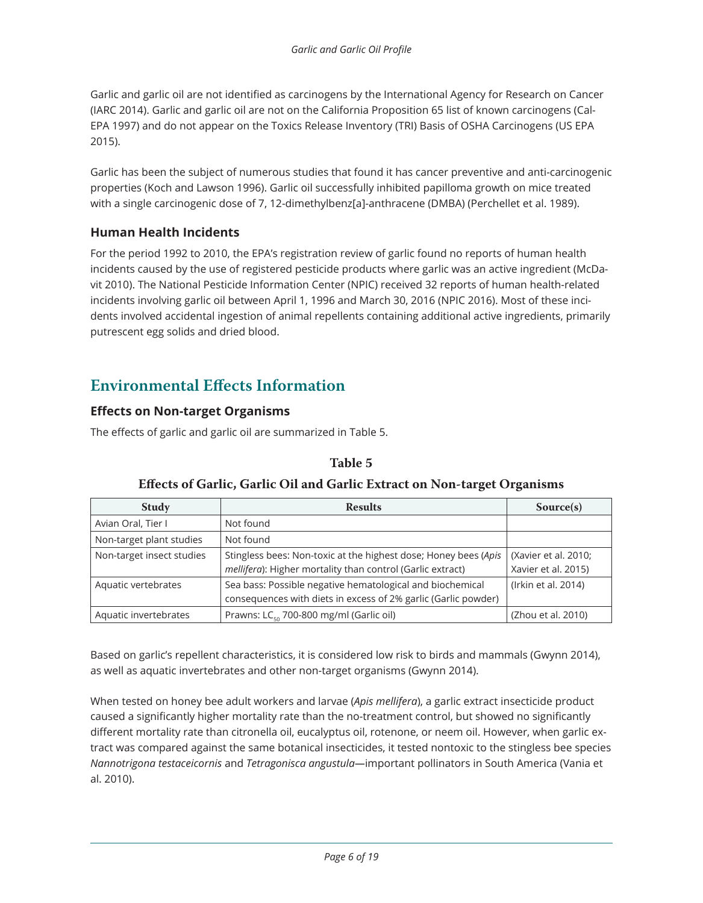Garlic and garlic oil are not identified as carcinogens by the International Agency for Research on Cancer (IARC 2014). Garlic and garlic oil are not on the California Proposition 65 list of known carcinogens (Cal-EPA 1997) and do not appear on the Toxics Release Inventory (TRI) Basis of OSHA Carcinogens (US EPA 2015).

Garlic has been the subject of numerous studies that found it has cancer preventive and anti-carcinogenic properties (Koch and Lawson 1996). Garlic oil successfully inhibited papilloma growth on mice treated with a single carcinogenic dose of 7, 12-dimethylbenz[a]-anthracene (DMBA) (Perchellet et al. 1989).

#### **Human Health Incidents**

For the period 1992 to 2010, the EPA's registration review of garlic found no reports of human health incidents caused by the use of registered pesticide products where garlic was an active ingredient (McDavit 2010). The National Pesticide Information Center (NPIC) received 32 reports of human health-related incidents involving garlic oil between April 1, 1996 and March 30, 2016 (NPIC 2016). Most of these incidents involved accidental ingestion of animal repellents containing additional active ingredients, primarily putrescent egg solids and dried blood.

### **Environmental Effects Information**

#### **Effects on Non-target Organisms**

The effects of garlic and garlic oil are summarized in Table 5.

#### **Table 5**

| <b>Study</b>              | <b>Results</b>                                                                                                                | Source(s)                                   |
|---------------------------|-------------------------------------------------------------------------------------------------------------------------------|---------------------------------------------|
| Avian Oral, Tier I        | Not found                                                                                                                     |                                             |
| Non-target plant studies  | Not found                                                                                                                     |                                             |
| Non-target insect studies | Stingless bees: Non-toxic at the highest dose; Honey bees (Apis<br>mellifera): Higher mortality than control (Garlic extract) | (Xavier et al. 2010;<br>Xavier et al. 2015) |
| Aquatic vertebrates       | Sea bass: Possible negative hematological and biochemical<br>consequences with diets in excess of 2% garlic (Garlic powder)   | (Irkin et al. 2014)                         |
| Aquatic invertebrates     | Prawns: LC <sub>50</sub> 700-800 mg/ml (Garlic oil)                                                                           | (Zhou et al. 2010)                          |

#### **Effects of Garlic, Garlic Oil and Garlic Extract on Non-target Organisms**

Based on garlic's repellent characteristics, it is considered low risk to birds and mammals (Gwynn 2014), as well as aquatic invertebrates and other non-target organisms (Gwynn 2014).

When tested on honey bee adult workers and larvae (*Apis mellifera*), a garlic extract insecticide product caused a significantly higher mortality rate than the no-treatment control, but showed no significantly different mortality rate than citronella oil, eucalyptus oil, rotenone, or neem oil. However, when garlic extract was compared against the same botanical insecticides, it tested nontoxic to the stingless bee species *Nannotrigona testaceicornis* and *Tetragonisca angustula—*important pollinators in South America (Vania et al. 2010).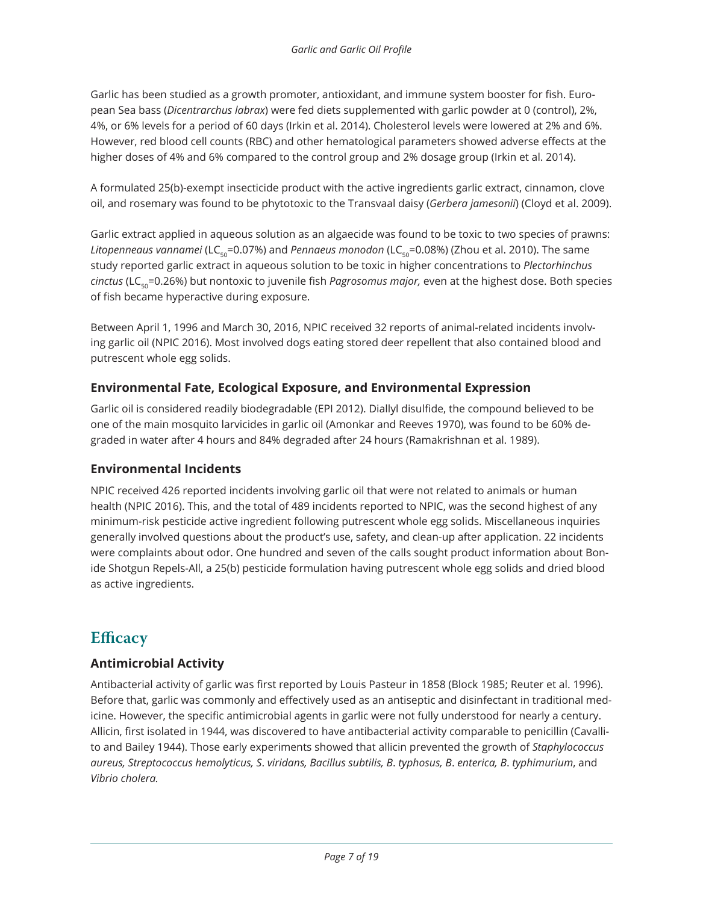Garlic has been studied as a growth promoter, antioxidant, and immune system booster for fish. European Sea bass (*Dicentrarchus labrax*) were fed diets supplemented with garlic powder at 0 (control), 2%, 4%, or 6% levels for a period of 60 days (Irkin et al. 2014). Cholesterol levels were lowered at 2% and 6%. However, red blood cell counts (RBC) and other hematological parameters showed adverse effects at the higher doses of 4% and 6% compared to the control group and 2% dosage group (Irkin et al. 2014).

A formulated 25(b)-exempt insecticide product with the active ingredients garlic extract, cinnamon, clove oil, and rosemary was found to be phytotoxic to the Transvaal daisy (*Gerbera jamesonii*) (Cloyd et al. 2009).

Garlic extract applied in aqueous solution as an algaecide was found to be toxic to two species of prawns: Litopenneaus vannamei (LC<sub>50</sub>=0.07%) and *Pennaeus monodon* (LC<sub>50</sub>=0.08%) (Zhou et al. 2010). The same study reported garlic extract in aqueous solution to be toxic in higher concentrations to *Plectorhinchus cinctus* (LC<sub>50</sub>=0.26%) but nontoxic to juvenile fish *Pagrosomus major*, even at the highest dose. Both species of fish became hyperactive during exposure.

Between April 1, 1996 and March 30, 2016, NPIC received 32 reports of animal-related incidents involving garlic oil (NPIC 2016). Most involved dogs eating stored deer repellent that also contained blood and putrescent whole egg solids.

#### **Environmental Fate, Ecological Exposure, and Environmental Expression**

Garlic oil is considered readily biodegradable (EPI 2012). Diallyl disulfide, the compound believed to be one of the main mosquito larvicides in garlic oil (Amonkar and Reeves 1970), was found to be 60% degraded in water after 4 hours and 84% degraded after 24 hours (Ramakrishnan et al. 1989).

#### **Environmental Incidents**

NPIC received 426 reported incidents involving garlic oil that were not related to animals or human health (NPIC 2016). This, and the total of 489 incidents reported to NPIC, was the second highest of any minimum-risk pesticide active ingredient following putrescent whole egg solids. Miscellaneous inquiries generally involved questions about the product's use, safety, and clean-up after application. 22 incidents were complaints about odor. One hundred and seven of the calls sought product information about Bonide Shotgun Repels-All, a 25(b) pesticide formulation having putrescent whole egg solids and dried blood as active ingredients.

## **Efficacy**

#### **Antimicrobial Activity**

Antibacterial activity of garlic was first reported by Louis Pasteur in 1858 (Block 1985; Reuter et al. 1996). Before that, garlic was commonly and effectively used as an antiseptic and disinfectant in traditional medicine. However, the specific antimicrobial agents in garlic were not fully understood for nearly a century. Allicin, first isolated in 1944, was discovered to have antibacterial activity comparable to penicillin (Cavallito and Bailey 1944). Those early experiments showed that allicin prevented the growth of *Staphylococcus aureus, Streptococcus hemolyticus, S*. *viridans, Bacillus subtilis, B*. *typhosus, B*. *enterica, B*. *typhimurium*, and *Vibrio cholera.*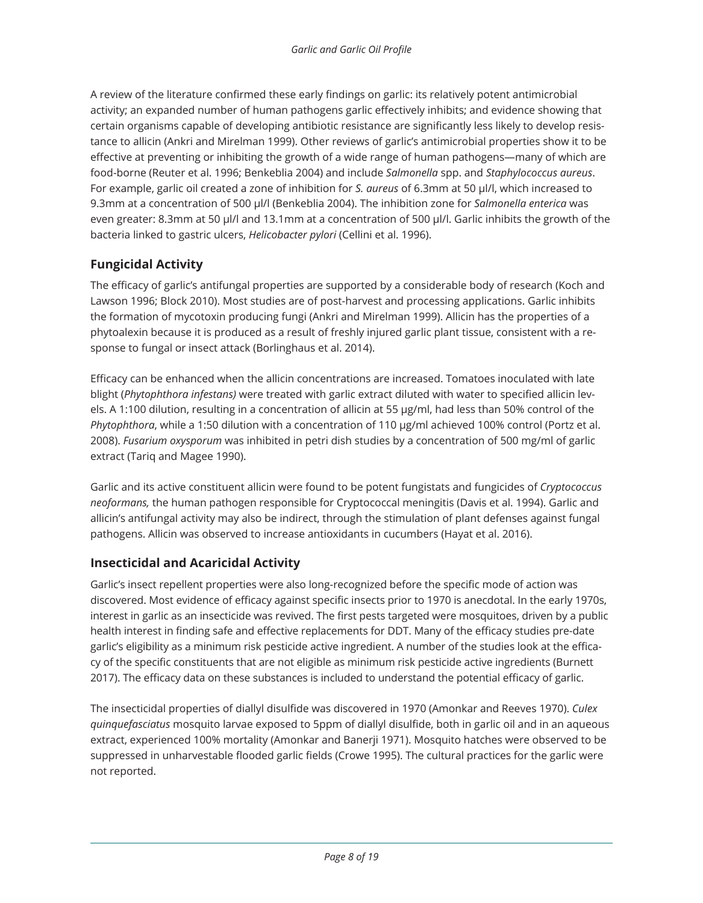A review of the literature confirmed these early findings on garlic: its relatively potent antimicrobial activity; an expanded number of human pathogens garlic effectively inhibits; and evidence showing that certain organisms capable of developing antibiotic resistance are significantly less likely to develop resistance to allicin (Ankri and Mirelman 1999). Other reviews of garlic's antimicrobial properties show it to be effective at preventing or inhibiting the growth of a wide range of human pathogens—many of which are food-borne (Reuter et al. 1996; Benkeblia 2004) and include *Salmonella* spp. and *Staphylococcus aureus*. For example, garlic oil created a zone of inhibition for *S. aureus* of 6.3mm at 50 µl/l, which increased to 9.3mm at a concentration of 500 µl/l (Benkeblia 2004). The inhibition zone for *Salmonella enterica* was even greater: 8.3mm at 50 µl/l and 13.1mm at a concentration of 500 µl/l. Garlic inhibits the growth of the bacteria linked to gastric ulcers, *Helicobacter pylori* (Cellini et al. 1996).

#### **Fungicidal Activity**

The efficacy of garlic's antifungal properties are supported by a considerable body of research (Koch and Lawson 1996; Block 2010). Most studies are of post-harvest and processing applications. Garlic inhibits the formation of mycotoxin producing fungi (Ankri and Mirelman 1999). Allicin has the properties of a phytoalexin because it is produced as a result of freshly injured garlic plant tissue, consistent with a response to fungal or insect attack (Borlinghaus et al. 2014).

Efficacy can be enhanced when the allicin concentrations are increased. Tomatoes inoculated with late blight (*Phytophthora infestans)* were treated with garlic extract diluted with water to specified allicin levels. A 1:100 dilution, resulting in a concentration of allicin at 55 µg/ml, had less than 50% control of the *Phytophthora*, while a 1:50 dilution with a concentration of 110 µg/ml achieved 100% control (Portz et al. 2008). *Fusarium oxysporum* was inhibited in petri dish studies by a concentration of 500 mg/ml of garlic extract (Tariq and Magee 1990).

Garlic and its active constituent allicin were found to be potent fungistats and fungicides of *Cryptococcus neoformans,* the human pathogen responsible for Cryptococcal meningitis (Davis et al. 1994). Garlic and allicin's antifungal activity may also be indirect, through the stimulation of plant defenses against fungal pathogens. Allicin was observed to increase antioxidants in cucumbers (Hayat et al. 2016).

#### **Insecticidal and Acaricidal Activity**

Garlic's insect repellent properties were also long-recognized before the specific mode of action was discovered. Most evidence of efficacy against specific insects prior to 1970 is anecdotal. In the early 1970s, interest in garlic as an insecticide was revived. The first pests targeted were mosquitoes, driven by a public health interest in finding safe and effective replacements for DDT. Many of the efficacy studies pre-date garlic's eligibility as a minimum risk pesticide active ingredient. A number of the studies look at the efficacy of the specific constituents that are not eligible as minimum risk pesticide active ingredients (Burnett 2017). The efficacy data on these substances is included to understand the potential efficacy of garlic.

The insecticidal properties of diallyl disulfide was discovered in 1970 (Amonkar and Reeves 1970). *Culex quinquefasciatus* mosquito larvae exposed to 5ppm of diallyl disulfide, both in garlic oil and in an aqueous extract, experienced 100% mortality (Amonkar and Banerji 1971). Mosquito hatches were observed to be suppressed in unharvestable flooded garlic fields (Crowe 1995). The cultural practices for the garlic were not reported.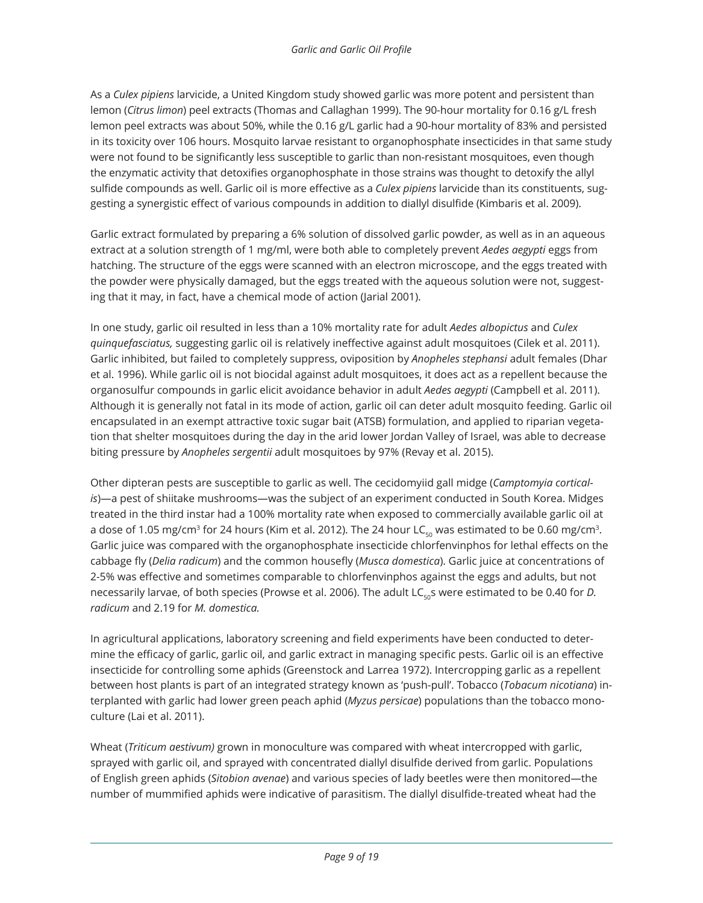As a *Culex pipiens* larvicide, a United Kingdom study showed garlic was more potent and persistent than lemon (*Citrus limon*) peel extracts (Thomas and Callaghan 1999). The 90-hour mortality for 0.16 g/L fresh lemon peel extracts was about 50%, while the 0.16 g/L garlic had a 90-hour mortality of 83% and persisted in its toxicity over 106 hours. Mosquito larvae resistant to organophosphate insecticides in that same study were not found to be significantly less susceptible to garlic than non-resistant mosquitoes, even though the enzymatic activity that detoxifies organophosphate in those strains was thought to detoxify the allyl sulfide compounds as well. Garlic oil is more effective as a *Culex pipiens* larvicide than its constituents, suggesting a synergistic effect of various compounds in addition to diallyl disulfide (Kimbaris et al. 2009).

Garlic extract formulated by preparing a 6% solution of dissolved garlic powder, as well as in an aqueous extract at a solution strength of 1 mg/ml, were both able to completely prevent *Aedes aegypti* eggs from hatching. The structure of the eggs were scanned with an electron microscope, and the eggs treated with the powder were physically damaged, but the eggs treated with the aqueous solution were not, suggesting that it may, in fact, have a chemical mode of action (Jarial 2001).

In one study, garlic oil resulted in less than a 10% mortality rate for adult *Aedes albopictus* and *Culex quinquefasciatus,* suggesting garlic oil is relatively ineffective against adult mosquitoes (Cilek et al. 2011). Garlic inhibited, but failed to completely suppress, oviposition by *Anopheles stephansi* adult females (Dhar et al. 1996). While garlic oil is not biocidal against adult mosquitoes, it does act as a repellent because the organosulfur compounds in garlic elicit avoidance behavior in adult *Aedes aegypti* (Campbell et al. 2011). Although it is generally not fatal in its mode of action, garlic oil can deter adult mosquito feeding. Garlic oil encapsulated in an exempt attractive toxic sugar bait (ATSB) formulation, and applied to riparian vegetation that shelter mosquitoes during the day in the arid lower Jordan Valley of Israel, was able to decrease biting pressure by *Anopheles sergentii* adult mosquitoes by 97% (Revay et al. 2015).

Other dipteran pests are susceptible to garlic as well. The cecidomyiid gall midge (*Camptomyia corticalis*)—a pest of shiitake mushrooms—was the subject of an experiment conducted in South Korea. Midges treated in the third instar had a 100% mortality rate when exposed to commercially available garlic oil at a dose of 1.05 mg/cm<sup>3</sup> for 24 hours (Kim et al. 2012). The 24 hour LC<sub>so</sub> was estimated to be 0.60 mg/cm<sup>3</sup>. Garlic juice was compared with the organophosphate insecticide chlorfenvinphos for lethal effects on the cabbage fly (*Delia radicum*) and the common housefly (*Musca domestica*). Garlic juice at concentrations of 2-5% was effective and sometimes comparable to chlorfenvinphos against the eggs and adults, but not necessarily larvae, of both species (Prowse et al. 2006). The adult LC<sub>50</sub>s were estimated to be 0.40 for *D. radicum* and 2.19 for *M. domestica.*

In agricultural applications, laboratory screening and field experiments have been conducted to determine the efficacy of garlic, garlic oil, and garlic extract in managing specific pests. Garlic oil is an effective insecticide for controlling some aphids (Greenstock and Larrea 1972). Intercropping garlic as a repellent between host plants is part of an integrated strategy known as 'push-pull'. Tobacco (*Tobacum nicotiana*) interplanted with garlic had lower green peach aphid (*Myzus persicae*) populations than the tobacco monoculture (Lai et al. 2011).

Wheat (*Triticum aestivum)* grown in monoculture was compared with wheat intercropped with garlic, sprayed with garlic oil, and sprayed with concentrated diallyl disulfide derived from garlic. Populations of English green aphids (*Sitobion avenae*) and various species of lady beetles were then monitored—the number of mummified aphids were indicative of parasitism. The diallyl disulfide-treated wheat had the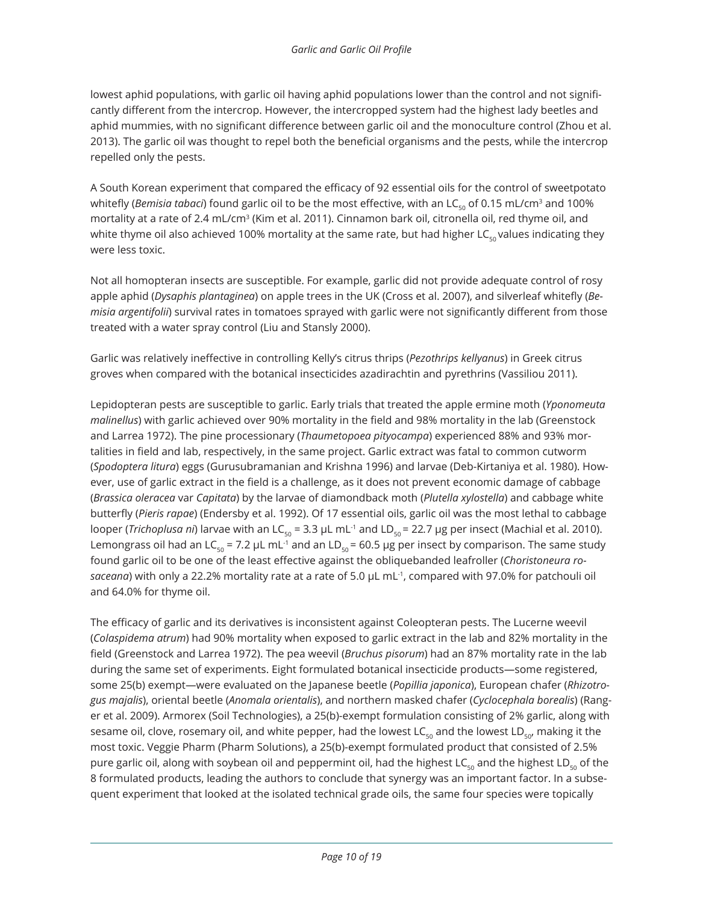lowest aphid populations, with garlic oil having aphid populations lower than the control and not significantly different from the intercrop. However, the intercropped system had the highest lady beetles and aphid mummies, with no significant difference between garlic oil and the monoculture control (Zhou et al. 2013). The garlic oil was thought to repel both the beneficial organisms and the pests, while the intercrop repelled only the pests.

A South Korean experiment that compared the efficacy of 92 essential oils for the control of sweetpotato whitefly (*Bemisia tabaci*) found garlic oil to be the most effective, with an LC<sub>50</sub> of 0.15 mL/cm<sup>3</sup> and 100% mortality at a rate of 2.4 mL/cm<sup>3</sup> (Kim et al. 2011). Cinnamon bark oil, citronella oil, red thyme oil, and white thyme oil also achieved 100% mortality at the same rate, but had higher LC $_{50}$  values indicating they were less toxic.

Not all homopteran insects are susceptible. For example, garlic did not provide adequate control of rosy apple aphid (*Dysaphis plantaginea*) on apple trees in the UK (Cross et al. 2007), and silverleaf whitefly (*Bemisia argentifolii*) survival rates in tomatoes sprayed with garlic were not significantly different from those treated with a water spray control (Liu and Stansly 2000).

Garlic was relatively ineffective in controlling Kelly's citrus thrips (*Pezothrips kellyanus*) in Greek citrus groves when compared with the botanical insecticides azadirachtin and pyrethrins (Vassiliou 2011).

Lepidopteran pests are susceptible to garlic. Early trials that treated the apple ermine moth (*Yponomeuta malinellus*) with garlic achieved over 90% mortality in the field and 98% mortality in the lab (Greenstock and Larrea 1972). The pine processionary (*Thaumetopoea pityocampa*) experienced 88% and 93% mortalities in field and lab, respectively, in the same project. Garlic extract was fatal to common cutworm (*Spodoptera litura*) eggs (Gurusubramanian and Krishna 1996) and larvae (Deb-Kirtaniya et al. 1980). However, use of garlic extract in the field is a challenge, as it does not prevent economic damage of cabbage (*Brassica oleracea* var *Capitata*) by the larvae of diamondback moth (*Plutella xylostella*) and cabbage white butterfly (*Pieris rapae*) (Endersby et al. 1992). Of 17 essential oils, garlic oil was the most lethal to cabbage looper (*Trichoplusa ni*) larvae with an LC<sub>50</sub> = 3.3 μL mL<sup>-1</sup> and LD<sub>50</sub> = 22.7 μg per insect (Machial et al. 2010). Lemongrass oil had an LC<sub>50</sub> = 7.2 μL mL<sup>-1</sup> and an LD<sub>50</sub> = 60.5 μg per insect by comparison. The same study found garlic oil to be one of the least effective against the obliquebanded leafroller (*Choristoneura rosaceana*) with only a 22.2% mortality rate at a rate of 5.0 μL mL-1, compared with 97.0% for patchouli oil and 64.0% for thyme oil.

The efficacy of garlic and its derivatives is inconsistent against Coleopteran pests. The Lucerne weevil (*Colaspidema atrum*) had 90% mortality when exposed to garlic extract in the lab and 82% mortality in the field (Greenstock and Larrea 1972). The pea weevil (*Bruchus pisorum*) had an 87% mortality rate in the lab during the same set of experiments. Eight formulated botanical insecticide products—some registered, some 25(b) exempt—were evaluated on the Japanese beetle (*Popillia japonica*), European chafer (*Rhizotrogus majalis*), oriental beetle (*Anomala orientalis*), and northern masked chafer (*Cyclocephala borealis*) (Ranger et al. 2009). Armorex (Soil Technologies), a 25(b)-exempt formulation consisting of 2% garlic, along with sesame oil, clove, rosemary oil, and white pepper, had the lowest LC<sub>50</sub> and the lowest LD<sub>50</sub>, making it the most toxic. Veggie Pharm (Pharm Solutions), a 25(b)-exempt formulated product that consisted of 2.5% pure garlic oil, along with soybean oil and peppermint oil, had the highest LC<sub>50</sub> and the highest LD<sub>50</sub> of the 8 formulated products, leading the authors to conclude that synergy was an important factor. In a subsequent experiment that looked at the isolated technical grade oils, the same four species were topically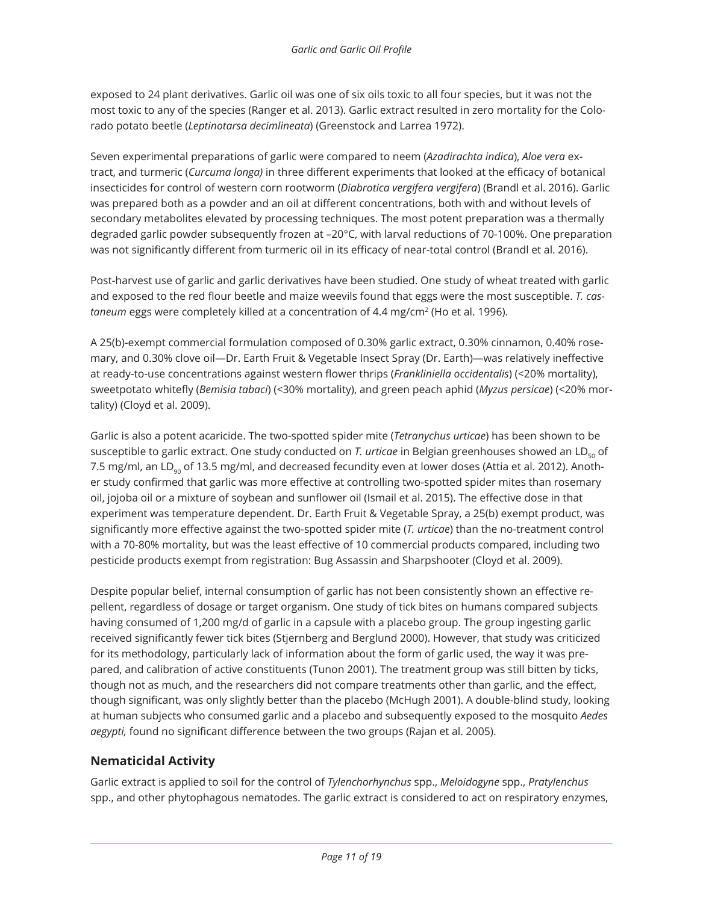exposed to 24 plant derivatives. Garlic oil was one of six oils toxic to all four species, but it was not the most toxic to any of the species (Ranger et al. 2013). Garlic extract resulted in zero mortality for the Colorado potato beetle (*Leptinotarsa decimlineata*) (Greenstock and Larrea 1972).

Seven experimental preparations of garlic were compared to neem (*Azadirachta indica*), *Aloe vera* extract, and turmeric (*Curcuma longa)* in three different experiments that looked at the efficacy of botanical insecticides for control of western corn rootworm (*Diabrotica vergifera vergifera*) (Brandl et al. 2016). Garlic was prepared both as a powder and an oil at different concentrations, both with and without levels of secondary metabolites elevated by processing techniques. The most potent preparation was a thermally degraded garlic powder subsequently frozen at –20°C, with larval reductions of 70-100%. One preparation was not significantly different from turmeric oil in its efficacy of near-total control (Brandl et al. 2016).

Post-harvest use of garlic and garlic derivatives have been studied. One study of wheat treated with garlic and exposed to the red flour beetle and maize weevils found that eggs were the most susceptible. *T. castaneum eggs were completely killed at a concentration of 4.4 mg/cm<sup>2</sup> (Ho et al. 1996).* 

A 25(b)-exempt commercial formulation composed of 0.30% garlic extract, 0.30% cinnamon, 0.40% rosemary, and 0.30% clove oil—Dr. Earth Fruit & Vegetable Insect Spray (Dr. Earth)—was relatively ineffective at ready-to-use concentrations against western flower thrips (*Frankliniella occidentalis*) (<20% mortality), sweetpotato whitefly (*Bemisia tabaci*) (<30% mortality), and green peach aphid (*Myzus persicae*) (<20% mortality) (Cloyd et al. 2009).

Garlic is also a potent acaricide. The two-spotted spider mite (*Tetranychus urticae*) has been shown to be susceptible to garlic extract. One study conducted on *T. urticae* in Belgian greenhouses showed an LD<sub>50</sub> of 7.5 mg/ml, an LD<sub>90</sub> of 13.5 mg/ml, and decreased fecundity even at lower doses (Attia et al. 2012). Another study confirmed that garlic was more effective at controlling two-spotted spider mites than rosemary oil, jojoba oil or a mixture of soybean and sunflower oil (Ismail et al. 2015). The effective dose in that experiment was temperature dependent. Dr. Earth Fruit & Vegetable Spray, a 25(b) exempt product, was significantly more effective against the two-spotted spider mite (*T. urticae*) than the no-treatment control with a 70-80% mortality, but was the least effective of 10 commercial products compared, including two pesticide products exempt from registration: Bug Assassin and Sharpshooter (Cloyd et al. 2009).

Despite popular belief, internal consumption of garlic has not been consistently shown an effective repellent, regardless of dosage or target organism. One study of tick bites on humans compared subjects having consumed of 1,200 mg/d of garlic in a capsule with a placebo group. The group ingesting garlic received significantly fewer tick bites (Stjernberg and Berglund 2000). However, that study was criticized for its methodology, particularly lack of information about the form of garlic used, the way it was prepared, and calibration of active constituents (Tunon 2001). The treatment group was still bitten by ticks, though not as much, and the researchers did not compare treatments other than garlic, and the effect, though significant, was only slightly better than the placebo (McHugh 2001). A double-blind study, looking at human subjects who consumed garlic and a placebo and subsequently exposed to the mosquito *Aedes aegypti,* found no significant difference between the two groups (Rajan et al. 2005).

#### **Nematicidal Activity**

Garlic extract is applied to soil for the control of *Tylenchorhynchus* spp., *Meloidogyne* spp., *Pratylenchus*  spp., and other phytophagous nematodes. The garlic extract is considered to act on respiratory enzymes,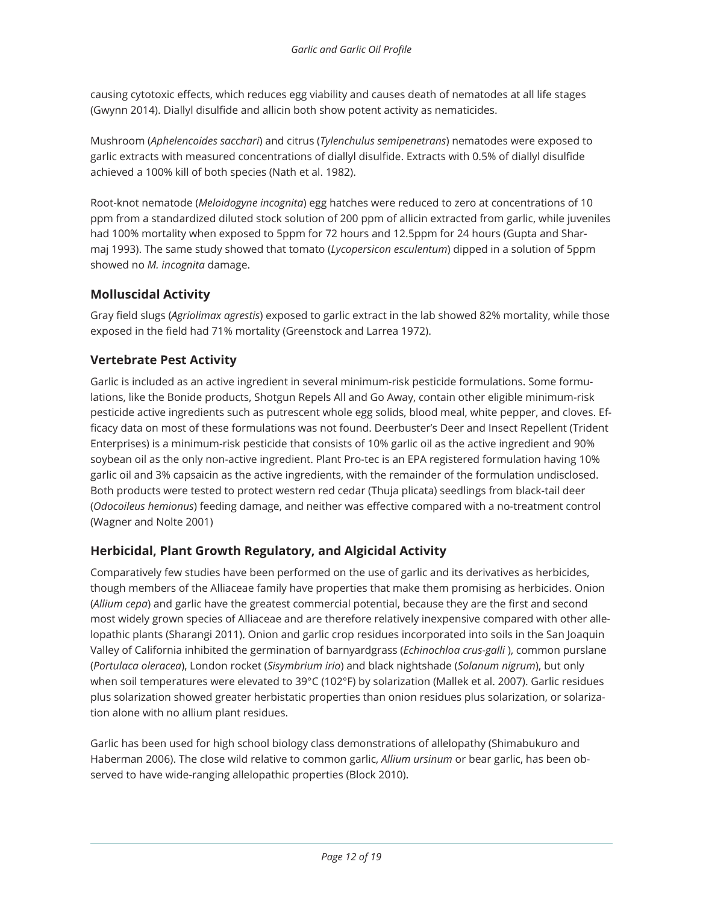causing cytotoxic effects, which reduces egg viability and causes death of nematodes at all life stages (Gwynn 2014). Diallyl disulfide and allicin both show potent activity as nematicides.

Mushroom (*Aphelencoides sacchari*) and citrus (*Tylenchulus semipenetrans*) nematodes were exposed to garlic extracts with measured concentrations of diallyl disulfide. Extracts with 0.5% of diallyl disulfide achieved a 100% kill of both species (Nath et al. 1982).

Root-knot nematode (*Meloidogyne incognita*) egg hatches were reduced to zero at concentrations of 10 ppm from a standardized diluted stock solution of 200 ppm of allicin extracted from garlic, while juveniles had 100% mortality when exposed to 5ppm for 72 hours and 12.5ppm for 24 hours (Gupta and Sharmaj 1993). The same study showed that tomato (*Lycopersicon esculentum*) dipped in a solution of 5ppm showed no *M. incognita* damage.

#### **Molluscidal Activity**

Gray field slugs (*Agriolimax agrestis*) exposed to garlic extract in the lab showed 82% mortality, while those exposed in the field had 71% mortality (Greenstock and Larrea 1972).

#### **Vertebrate Pest Activity**

Garlic is included as an active ingredient in several minimum-risk pesticide formulations. Some formulations, like the Bonide products, Shotgun Repels All and Go Away, contain other eligible minimum-risk pesticide active ingredients such as putrescent whole egg solids, blood meal, white pepper, and cloves. Efficacy data on most of these formulations was not found. Deerbuster's Deer and Insect Repellent (Trident Enterprises) is a minimum-risk pesticide that consists of 10% garlic oil as the active ingredient and 90% soybean oil as the only non-active ingredient. Plant Pro-tec is an EPA registered formulation having 10% garlic oil and 3% capsaicin as the active ingredients, with the remainder of the formulation undisclosed. Both products were tested to protect western red cedar (Thuja plicata) seedlings from black-tail deer (*Odocoileus hemionus*) feeding damage, and neither was effective compared with a no-treatment control (Wagner and Nolte 2001)

#### **Herbicidal, Plant Growth Regulatory, and Algicidal Activity**

Comparatively few studies have been performed on the use of garlic and its derivatives as herbicides, though members of the Alliaceae family have properties that make them promising as herbicides. Onion (*Allium cepa*) and garlic have the greatest commercial potential, because they are the first and second most widely grown species of Alliaceae and are therefore relatively inexpensive compared with other allelopathic plants (Sharangi 2011). Onion and garlic crop residues incorporated into soils in the San Joaquin Valley of California inhibited the germination of barnyardgrass (*Echinochloa crus-galli* ), common purslane (*Portulaca oleracea*), London rocket (*Sisymbrium irio*) and black nightshade (*Solanum nigrum*), but only when soil temperatures were elevated to 39°C (102°F) by solarization (Mallek et al. 2007). Garlic residues plus solarization showed greater herbistatic properties than onion residues plus solarization, or solarization alone with no allium plant residues.

Garlic has been used for high school biology class demonstrations of allelopathy (Shimabukuro and Haberman 2006). The close wild relative to common garlic, *Allium ursinum* or bear garlic, has been observed to have wide-ranging allelopathic properties (Block 2010).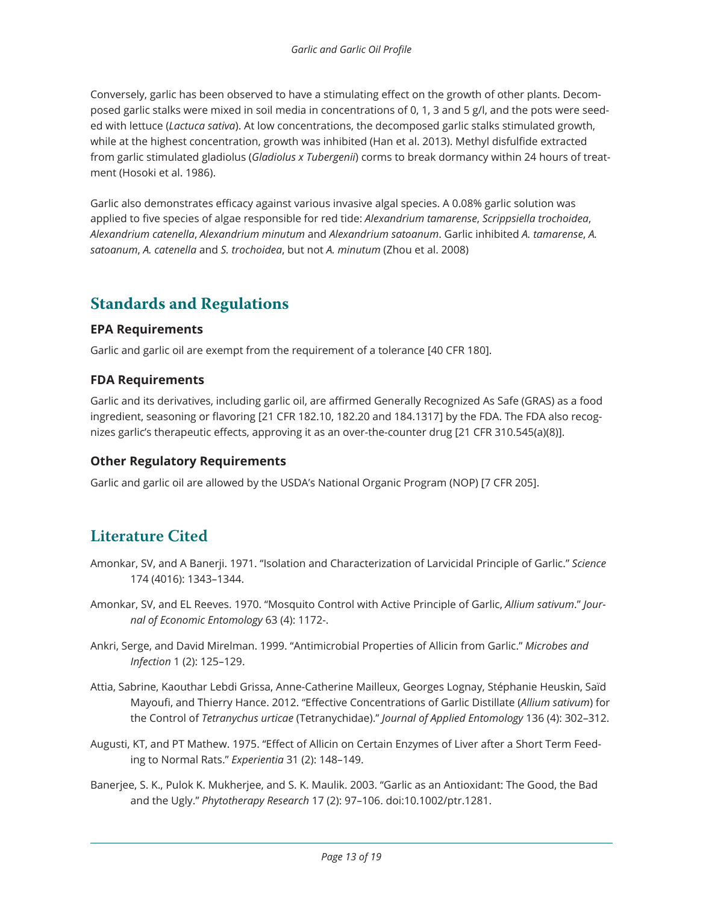Conversely, garlic has been observed to have a stimulating effect on the growth of other plants. Decomposed garlic stalks were mixed in soil media in concentrations of 0, 1, 3 and 5 g/l, and the pots were seeded with lettuce (*Lactuca sativa*). At low concentrations, the decomposed garlic stalks stimulated growth, while at the highest concentration, growth was inhibited (Han et al. 2013). Methyl disfulfide extracted from garlic stimulated gladiolus (*Gladiolus x Tubergenii*) corms to break dormancy within 24 hours of treatment (Hosoki et al. 1986).

Garlic also demonstrates efficacy against various invasive algal species. A 0.08% garlic solution was applied to five species of algae responsible for red tide: *Alexandrium tamarense*, *Scrippsiella trochoidea*, *Alexandrium catenella*, *Alexandrium minutum* and *Alexandrium satoanum*. Garlic inhibited *A. tamarense*, *A. satoanum*, *A. catenella* and *S. trochoidea*, but not *A. minutum* (Zhou et al. 2008)

## **Standards and Regulations**

#### **EPA Requirements**

Garlic and garlic oil are exempt from the requirement of a tolerance [40 CFR 180].

#### **FDA Requirements**

Garlic and its derivatives, including garlic oil, are affirmed Generally Recognized As Safe (GRAS) as a food ingredient, seasoning or flavoring [21 CFR 182.10, 182.20 and 184.1317] by the FDA. The FDA also recognizes garlic's therapeutic effects, approving it as an over-the-counter drug [21 CFR 310.545(a)(8)].

#### **Other Regulatory Requirements**

Garlic and garlic oil are allowed by the USDA's National Organic Program (NOP) [7 CFR 205].

## **Literature Cited**

- Amonkar, SV, and A Banerji. 1971. "Isolation and Characterization of Larvicidal Principle of Garlic." *Science* 174 (4016): 1343–1344.
- Amonkar, SV, and EL Reeves. 1970. "Mosquito Control with Active Principle of Garlic, *Allium sativum*." *Journal of Economic Entomology* 63 (4): 1172-.
- Ankri, Serge, and David Mirelman. 1999. "Antimicrobial Properties of Allicin from Garlic." *Microbes and Infection* 1 (2): 125–129.
- Attia, Sabrine, Kaouthar Lebdi Grissa, Anne-Catherine Mailleux, Georges Lognay, Stéphanie Heuskin, Saïd Mayoufi, and Thierry Hance. 2012. "Effective Concentrations of Garlic Distillate (*Allium sativum*) for the Control of *Tetranychus urticae* (Tetranychidae)." *Journal of Applied Entomology* 136 (4): 302–312.
- Augusti, KT, and PT Mathew. 1975. "Effect of Allicin on Certain Enzymes of Liver after a Short Term Feeding to Normal Rats." *Experientia* 31 (2): 148–149.
- Banerjee, S. K., Pulok K. Mukherjee, and S. K. Maulik. 2003. "Garlic as an Antioxidant: The Good, the Bad and the Ugly." *Phytotherapy Research* 17 (2): 97–106. doi:10.1002/ptr.1281.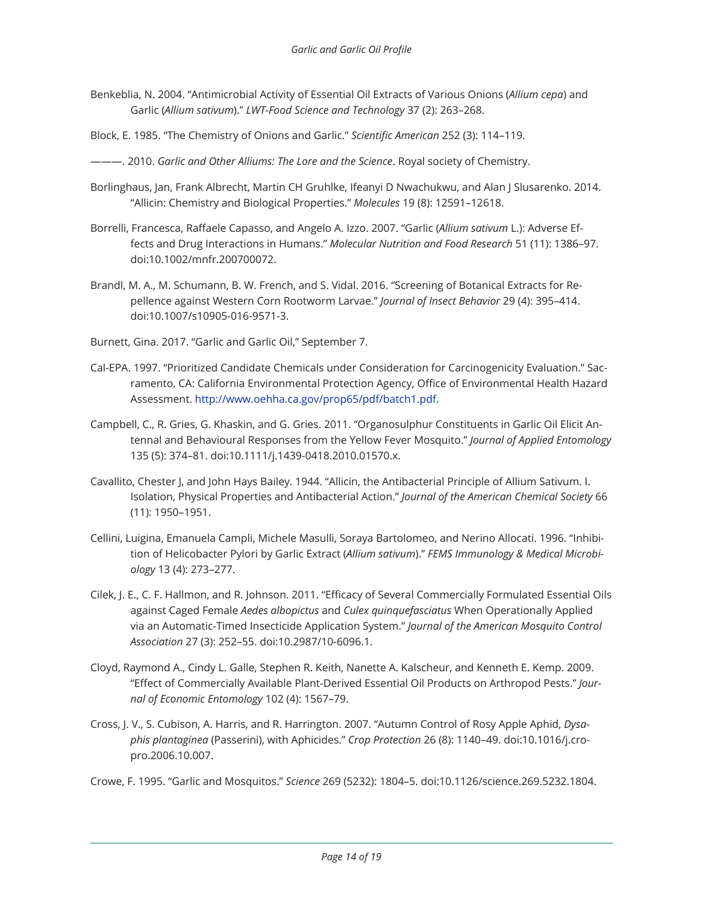- Benkeblia, N. 2004. "Antimicrobial Activity of Essential Oil Extracts of Various Onions (*Allium cepa*) and Garlic (*Allium sativum*)." *LWT-Food Science and Technology* 37 (2): 263–268.
- Block, E. 1985. "The Chemistry of Onions and Garlic." *Scientific American* 252 (3): 114–119.
- ———. 2010. *Garlic and Other Alliums: The Lore and the Science*. Royal society of Chemistry.
- Borlinghaus, Jan, Frank Albrecht, Martin CH Gruhlke, Ifeanyi D Nwachukwu, and Alan J Slusarenko. 2014. "Allicin: Chemistry and Biological Properties." *Molecules* 19 (8): 12591–12618.
- Borrelli, Francesca, Raffaele Capasso, and Angelo A. Izzo. 2007. "Garlic (*Allium sativum* L.): Adverse Effects and Drug Interactions in Humans." *Molecular Nutrition and Food Research* 51 (11): 1386–97. doi:10.1002/mnfr.200700072.
- Brandl, M. A., M. Schumann, B. W. French, and S. Vidal. 2016. "Screening of Botanical Extracts for Repellence against Western Corn Rootworm Larvae." *Journal of Insect Behavior* 29 (4): 395–414. doi:10.1007/s10905-016-9571-3.
- Burnett, Gina. 2017. "Garlic and Garlic Oil," September 7.
- Cal-EPA. 1997. "Prioritized Candidate Chemicals under Consideration for Carcinogenicity Evaluation." Sacramento, CA: California Environmental Protection Agency, Office of Environmental Health Hazard Assessment. http://www.oehha.ca.gov/prop65/pdf/batch1.pdf.
- Campbell, C., R. Gries, G. Khaskin, and G. Gries. 2011. "Organosulphur Constituents in Garlic Oil Elicit Antennal and Behavioural Responses from the Yellow Fever Mosquito." *Journal of Applied Entomology* 135 (5): 374–81. doi:10.1111/j.1439-0418.2010.01570.x.
- Cavallito, Chester J, and John Hays Bailey. 1944. "Allicin, the Antibacterial Principle of Allium Sativum. I. Isolation, Physical Properties and Antibacterial Action." *Journal of the American Chemical Society* 66 (11): 1950–1951.
- Cellini, Luigina, Emanuela Campli, Michele Masulli, Soraya Bartolomeo, and Nerino Allocati. 1996. "Inhibition of Helicobacter Pylori by Garlic Extract (*Allium sativum*)." *FEMS Immunology & Medical Microbiology* 13 (4): 273–277.
- Cilek, J. E., C. F. Hallmon, and R. Johnson. 2011. "Efficacy of Several Commercially Formulated Essential Oils against Caged Female *Aedes albopictus* and *Culex quinquefasciatus* When Operationally Applied via an Automatic-Timed Insecticide Application System." *Journal of the American Mosquito Control Association* 27 (3): 252–55. doi:10.2987/10-6096.1.
- Cloyd, Raymond A., Cindy L. Galle, Stephen R. Keith, Nanette A. Kalscheur, and Kenneth E. Kemp. 2009. "Effect of Commercially Available Plant-Derived Essential Oil Products on Arthropod Pests." *Journal of Economic Entomology* 102 (4): 1567–79.
- Cross, J. V., S. Cubison, A. Harris, and R. Harrington. 2007. "Autumn Control of Rosy Apple Aphid, *Dysaphis plantaginea* (Passerini), with Aphicides." *Crop Protection* 26 (8): 1140–49. doi:10.1016/j.cropro.2006.10.007.
- Crowe, F. 1995. "Garlic and Mosquitos." *Science* 269 (5232): 1804–5. doi:10.1126/science.269.5232.1804.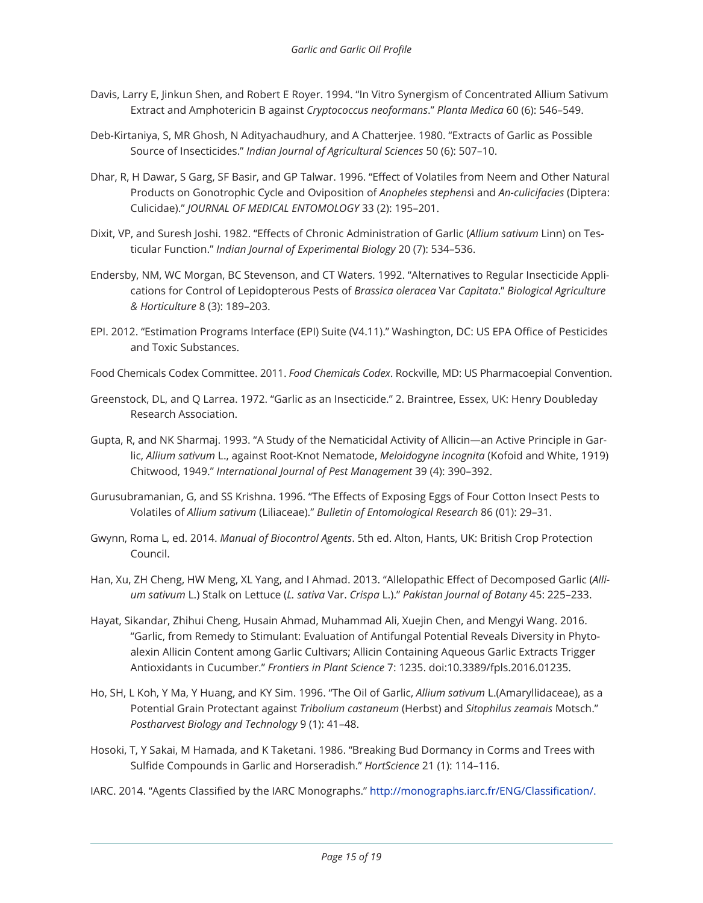- Davis, Larry E, Jinkun Shen, and Robert E Royer. 1994. "In Vitro Synergism of Concentrated Allium Sativum Extract and Amphotericin B against *Cryptococcus neoformans*." *Planta Medica* 60 (6): 546–549.
- Deb-Kirtaniya, S, MR Ghosh, N Adityachaudhury, and A Chatterjee. 1980. "Extracts of Garlic as Possible Source of Insecticides." *Indian Journal of Agricultural Sciences* 50 (6): 507–10.
- Dhar, R, H Dawar, S Garg, SF Basir, and GP Talwar. 1996. "Effect of Volatiles from Neem and Other Natural Products on Gonotrophic Cycle and Oviposition of *Anopheles stephens*i and *An-culicifacies* (Diptera: Culicidae)." *JOURNAL OF MEDICAL ENTOMOLOGY* 33 (2): 195–201.
- Dixit, VP, and Suresh Joshi. 1982. "Effects of Chronic Administration of Garlic (*Allium sativum* Linn) on Testicular Function." *Indian Journal of Experimental Biology* 20 (7): 534–536.
- Endersby, NM, WC Morgan, BC Stevenson, and CT Waters. 1992. "Alternatives to Regular Insecticide Applications for Control of Lepidopterous Pests of *Brassica oleracea* Var *Capitata*." *Biological Agriculture & Horticulture* 8 (3): 189–203.
- EPI. 2012. "Estimation Programs Interface (EPI) Suite (V4.11)." Washington, DC: US EPA Office of Pesticides and Toxic Substances.
- Food Chemicals Codex Committee. 2011. *Food Chemicals Codex*. Rockville, MD: US Pharmacoepial Convention.
- Greenstock, DL, and Q Larrea. 1972. "Garlic as an Insecticide." 2. Braintree, Essex, UK: Henry Doubleday Research Association.
- Gupta, R, and NK Sharmaj. 1993. "A Study of the Nematicidal Activity of Allicin—an Active Principle in Garlic, *Allium sativum* L., against Root-Knot Nematode, *Meloidogyne incognita* (Kofoid and White, 1919) Chitwood, 1949." *International Journal of Pest Management* 39 (4): 390–392.
- Gurusubramanian, G, and SS Krishna. 1996. "The Effects of Exposing Eggs of Four Cotton Insect Pests to Volatiles of *Allium sativum* (Liliaceae)." *Bulletin of Entomological Research* 86 (01): 29–31.
- Gwynn, Roma L, ed. 2014. *Manual of Biocontrol Agents*. 5th ed. Alton, Hants, UK: British Crop Protection Council.
- Han, Xu, ZH Cheng, HW Meng, XL Yang, and I Ahmad. 2013. "Allelopathic Effect of Decomposed Garlic (*Allium sativum* L.) Stalk on Lettuce (*L. sativa* Var. *Crispa* L.)." *Pakistan Journal of Botany* 45: 225–233.
- Hayat, Sikandar, Zhihui Cheng, Husain Ahmad, Muhammad Ali, Xuejin Chen, and Mengyi Wang. 2016. "Garlic, from Remedy to Stimulant: Evaluation of Antifungal Potential Reveals Diversity in Phytoalexin Allicin Content among Garlic Cultivars; Allicin Containing Aqueous Garlic Extracts Trigger Antioxidants in Cucumber." *Frontiers in Plant Science* 7: 1235. doi:10.3389/fpls.2016.01235.
- Ho, SH, L Koh, Y Ma, Y Huang, and KY Sim. 1996. "The Oil of Garlic, *Allium sativum* L.(Amaryllidaceae), as a Potential Grain Protectant against *Tribolium castaneum* (Herbst) and *Sitophilus zeamais* Motsch." *Postharvest Biology and Technology* 9 (1): 41–48.
- Hosoki, T, Y Sakai, M Hamada, and K Taketani. 1986. "Breaking Bud Dormancy in Corms and Trees with Sulfide Compounds in Garlic and Horseradish." *HortScience* 21 (1): 114–116.
- IARC. 2014. "Agents Classified by the IARC Monographs." http://monographs.iarc.fr/ENG/Classification/.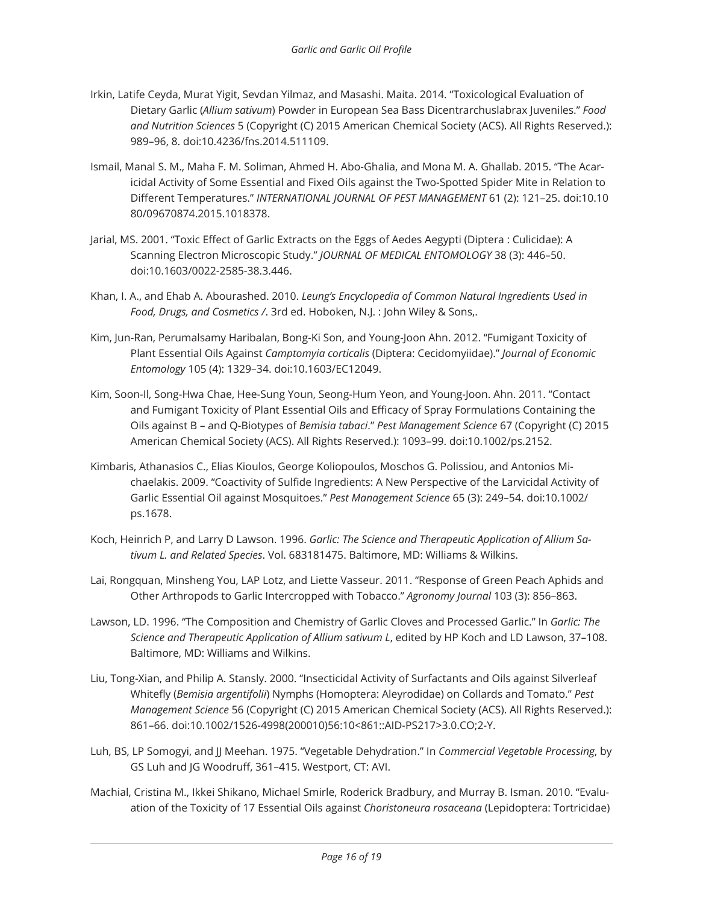- Irkin, Latife Ceyda, Murat Yigit, Sevdan Yilmaz, and Masashi. Maita. 2014. "Toxicological Evaluation of Dietary Garlic (*Allium sativum*) Powder in European Sea Bass Dicentrarchuslabrax Juveniles." *Food and Nutrition Sciences* 5 (Copyright (C) 2015 American Chemical Society (ACS). All Rights Reserved.): 989–96, 8. doi:10.4236/fns.2014.511109.
- Ismail, Manal S. M., Maha F. M. Soliman, Ahmed H. Abo-Ghalia, and Mona M. A. Ghallab. 2015. "The Acaricidal Activity of Some Essential and Fixed Oils against the Two-Spotted Spider Mite in Relation to Different Temperatures." *INTERNATIONAL JOURNAL OF PEST MANAGEMENT* 61 (2): 121–25. doi:10.10 80/09670874.2015.1018378.
- Jarial, MS. 2001. "Toxic Effect of Garlic Extracts on the Eggs of Aedes Aegypti (Diptera : Culicidae): A Scanning Electron Microscopic Study." *JOURNAL OF MEDICAL ENTOMOLOGY* 38 (3): 446–50. doi:10.1603/0022-2585-38.3.446.
- Khan, I. A., and Ehab A. Abourashed. 2010. *Leung's Encyclopedia of Common Natural Ingredients Used in Food, Drugs, and Cosmetics /*. 3rd ed. Hoboken, N.J. : John Wiley & Sons,.
- Kim, Jun-Ran, Perumalsamy Haribalan, Bong-Ki Son, and Young-Joon Ahn. 2012. "Fumigant Toxicity of Plant Essential Oils Against *Camptomyia corticalis* (Diptera: Cecidomyiidae)." *Journal of Economic Entomology* 105 (4): 1329–34. doi:10.1603/EC12049.
- Kim, Soon-Il, Song-Hwa Chae, Hee-Sung Youn, Seong-Hum Yeon, and Young-Joon. Ahn. 2011. "Contact and Fumigant Toxicity of Plant Essential Oils and Efficacy of Spray Formulations Containing the Oils against B – and Q-Biotypes of *Bemisia tabaci*." *Pest Management Science* 67 (Copyright (C) 2015 American Chemical Society (ACS). All Rights Reserved.): 1093–99. doi:10.1002/ps.2152.
- Kimbaris, Athanasios C., Elias Kioulos, George Koliopoulos, Moschos G. Polissiou, and Antonios Michaelakis. 2009. "Coactivity of Sulfide Ingredients: A New Perspective of the Larvicidal Activity of Garlic Essential Oil against Mosquitoes." *Pest Management Science* 65 (3): 249–54. doi:10.1002/ ps.1678.
- Koch, Heinrich P, and Larry D Lawson. 1996. *Garlic: The Science and Therapeutic Application of Allium Sativum L. and Related Species*. Vol. 683181475. Baltimore, MD: Williams & Wilkins.
- Lai, Rongquan, Minsheng You, LAP Lotz, and Liette Vasseur. 2011. "Response of Green Peach Aphids and Other Arthropods to Garlic Intercropped with Tobacco." *Agronomy Journal* 103 (3): 856–863.
- Lawson, LD. 1996. "The Composition and Chemistry of Garlic Cloves and Processed Garlic." In *Garlic: The Science and Therapeutic Application of Allium sativum L*, edited by HP Koch and LD Lawson, 37–108. Baltimore, MD: Williams and Wilkins.
- Liu, Tong-Xian, and Philip A. Stansly. 2000. "Insecticidal Activity of Surfactants and Oils against Silverleaf Whitefly (*Bemisia argentifolii*) Nymphs (Homoptera: Aleyrodidae) on Collards and Tomato." *Pest Management Science* 56 (Copyright (C) 2015 American Chemical Society (ACS). All Rights Reserved.): 861–66. doi:10.1002/1526-4998(200010)56:10<861::AID-PS217>3.0.CO;2-Y.
- Luh, BS, LP Somogyi, and JJ Meehan. 1975. "Vegetable Dehydration." In *Commercial Vegetable Processing*, by GS Luh and JG Woodruff, 361–415. Westport, CT: AVI.
- Machial, Cristina M., Ikkei Shikano, Michael Smirle, Roderick Bradbury, and Murray B. Isman. 2010. "Evaluation of the Toxicity of 17 Essential Oils against *Choristoneura rosaceana* (Lepidoptera: Tortricidae)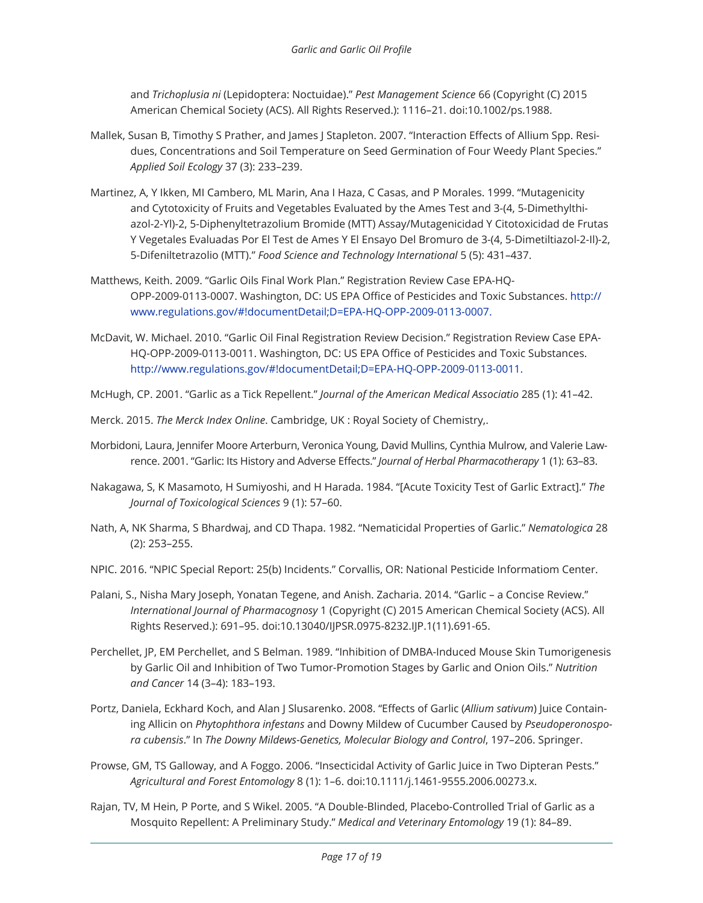and *Trichoplusia ni* (Lepidoptera: Noctuidae)." *Pest Management Science* 66 (Copyright (C) 2015 American Chemical Society (ACS). All Rights Reserved.): 1116–21. doi:10.1002/ps.1988.

- Mallek, Susan B, Timothy S Prather, and James J Stapleton. 2007. "Interaction Effects of Allium Spp. Residues, Concentrations and Soil Temperature on Seed Germination of Four Weedy Plant Species." *Applied Soil Ecology* 37 (3): 233–239.
- Martinez, A, Y Ikken, MI Cambero, ML Marin, Ana I Haza, C Casas, and P Morales. 1999. "Mutagenicity and Cytotoxicity of Fruits and Vegetables Evaluated by the Ames Test and 3-(4, 5-Dimethylthiazol-2-Yl)-2, 5-Diphenyltetrazolium Bromide (MTT) Assay/Mutagenicidad Y Citotoxicidad de Frutas Y Vegetales Evaluadas Por El Test de Ames Y El Ensayo Del Bromuro de 3-(4, 5-Dimetiltiazol-2-Il)-2, 5-Difeniltetrazolio (MTT)." *Food Science and Technology International* 5 (5): 431–437.
- Matthews, Keith. 2009. "Garlic Oils Final Work Plan." Registration Review Case EPA-HQ-OPP-2009-0113-0007. Washington, DC: US EPA Office of Pesticides and Toxic Substances. http:// www.regulations.gov/#!documentDetail;D=EPA-HQ-OPP-2009-0113-0007.
- McDavit, W. Michael. 2010. "Garlic Oil Final Registration Review Decision." Registration Review Case EPA-HQ-OPP-2009-0113-0011. Washington, DC: US EPA Office of Pesticides and Toxic Substances. http://www.regulations.gov/#!documentDetail;D=EPA-HQ-OPP-2009-0113-0011.

McHugh, CP. 2001. "Garlic as a Tick Repellent." *Journal of the American Medical Associatio* 285 (1): 41–42.

- Merck. 2015. *The Merck Index Online*. Cambridge, UK : Royal Society of Chemistry,.
- Morbidoni, Laura, Jennifer Moore Arterburn, Veronica Young, David Mullins, Cynthia Mulrow, and Valerie Lawrence. 2001. "Garlic: Its History and Adverse Effects." *Journal of Herbal Pharmacotherapy* 1 (1): 63–83.
- Nakagawa, S, K Masamoto, H Sumiyoshi, and H Harada. 1984. "[Acute Toxicity Test of Garlic Extract]." *The Journal of Toxicological Sciences* 9 (1): 57–60.
- Nath, A, NK Sharma, S Bhardwaj, and CD Thapa. 1982. "Nematicidal Properties of Garlic." *Nematologica* 28 (2): 253–255.
- NPIC. 2016. "NPIC Special Report: 25(b) Incidents." Corvallis, OR: National Pesticide Informatiom Center.
- Palani, S., Nisha Mary Joseph, Yonatan Tegene, and Anish. Zacharia. 2014. "Garlic a Concise Review." *International Journal of Pharmacognosy* 1 (Copyright (C) 2015 American Chemical Society (ACS). All Rights Reserved.): 691–95. doi:10.13040/IJPSR.0975-8232.IJP.1(11).691-65.
- Perchellet, JP, EM Perchellet, and S Belman. 1989. "Inhibition of DMBA-Induced Mouse Skin Tumorigenesis by Garlic Oil and Inhibition of Two Tumor-Promotion Stages by Garlic and Onion Oils." *Nutrition and Cancer* 14 (3–4): 183–193.
- Portz, Daniela, Eckhard Koch, and Alan J Slusarenko. 2008. "Effects of Garlic (*Allium sativum*) Juice Containing Allicin on *Phytophthora infestans* and Downy Mildew of Cucumber Caused by *Pseudoperonospora cubensis*." In *The Downy Mildews-Genetics, Molecular Biology and Control*, 197–206. Springer.
- Prowse, GM, TS Galloway, and A Foggo. 2006. "Insecticidal Activity of Garlic Juice in Two Dipteran Pests." *Agricultural and Forest Entomology* 8 (1): 1–6. doi:10.1111/j.1461-9555.2006.00273.x.
- Rajan, TV, M Hein, P Porte, and S Wikel. 2005. "A Double-Blinded, Placebo-Controlled Trial of Garlic as a Mosquito Repellent: A Preliminary Study." *Medical and Veterinary Entomology* 19 (1): 84–89.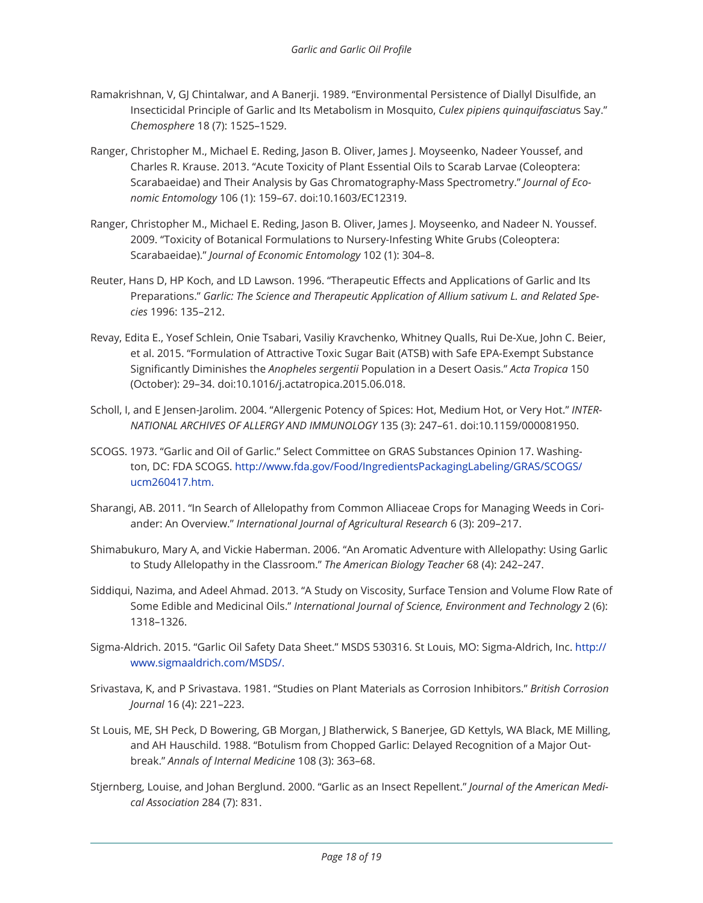- Ramakrishnan, V, GJ Chintalwar, and A Banerji. 1989. "Environmental Persistence of Diallyl Disulfide, an Insecticidal Principle of Garlic and Its Metabolism in Mosquito, *Culex pipiens quinquifasciatu*s Say." *Chemosphere* 18 (7): 1525–1529.
- Ranger, Christopher M., Michael E. Reding, Jason B. Oliver, James J. Moyseenko, Nadeer Youssef, and Charles R. Krause. 2013. "Acute Toxicity of Plant Essential Oils to Scarab Larvae (Coleoptera: Scarabaeidae) and Their Analysis by Gas Chromatography-Mass Spectrometry." *Journal of Economic Entomology* 106 (1): 159–67. doi:10.1603/EC12319.
- Ranger, Christopher M., Michael E. Reding, Jason B. Oliver, James J. Moyseenko, and Nadeer N. Youssef. 2009. "Toxicity of Botanical Formulations to Nursery-Infesting White Grubs (Coleoptera: Scarabaeidae)." *Journal of Economic Entomology* 102 (1): 304–8.
- Reuter, Hans D, HP Koch, and LD Lawson. 1996. "Therapeutic Effects and Applications of Garlic and Its Preparations." *Garlic: The Science and Therapeutic Application of Allium sativum L. and Related Species* 1996: 135–212.
- Revay, Edita E., Yosef Schlein, Onie Tsabari, Vasiliy Kravchenko, Whitney Qualls, Rui De-Xue, John C. Beier, et al. 2015. "Formulation of Attractive Toxic Sugar Bait (ATSB) with Safe EPA-Exempt Substance Significantly Diminishes the *Anopheles sergentii* Population in a Desert Oasis." *Acta Tropica* 150 (October): 29–34. doi:10.1016/j.actatropica.2015.06.018.
- Scholl, I, and E Jensen-Jarolim. 2004. "Allergenic Potency of Spices: Hot, Medium Hot, or Very Hot." *INTER-NATIONAL ARCHIVES OF ALLERGY AND IMMUNOLOGY* 135 (3): 247–61. doi:10.1159/000081950.
- SCOGS. 1973. "Garlic and Oil of Garlic." Select Committee on GRAS Substances Opinion 17. Washington, DC: FDA SCOGS. http://www.fda.gov/Food/IngredientsPackagingLabeling/GRAS/SCOGS/ ucm260417.htm.
- Sharangi, AB. 2011. "In Search of Allelopathy from Common Alliaceae Crops for Managing Weeds in Coriander: An Overview." *International Journal of Agricultural Research* 6 (3): 209–217.
- Shimabukuro, Mary A, and Vickie Haberman. 2006. "An Aromatic Adventure with Allelopathy: Using Garlic to Study Allelopathy in the Classroom." *The American Biology Teacher* 68 (4): 242–247.
- Siddiqui, Nazima, and Adeel Ahmad. 2013. "A Study on Viscosity, Surface Tension and Volume Flow Rate of Some Edible and Medicinal Oils." *International Journal of Science, Environment and Technology* 2 (6): 1318–1326.
- Sigma-Aldrich. 2015. "Garlic Oil Safety Data Sheet." MSDS 530316. St Louis, MO: Sigma-Aldrich, Inc. http:// www.sigmaaldrich.com/MSDS/.
- Srivastava, K, and P Srivastava. 1981. "Studies on Plant Materials as Corrosion Inhibitors." *British Corrosion Journal* 16 (4): 221–223.
- St Louis, ME, SH Peck, D Bowering, GB Morgan, J Blatherwick, S Banerjee, GD Kettyls, WA Black, ME Milling, and AH Hauschild. 1988. "Botulism from Chopped Garlic: Delayed Recognition of a Major Outbreak." *Annals of Internal Medicine* 108 (3): 363–68.
- Stjernberg, Louise, and Johan Berglund. 2000. "Garlic as an Insect Repellent." *Journal of the American Medical Association* 284 (7): 831.